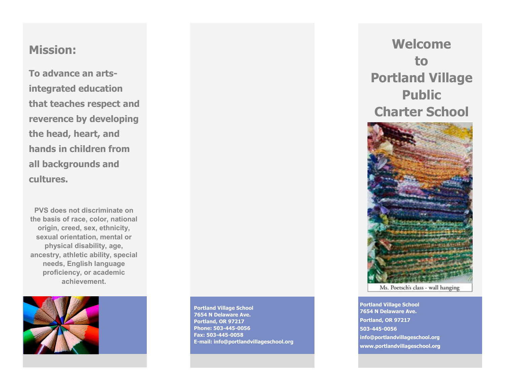### **Mission:**

**To advance an artsintegrated education that teaches respect and reverence by developing the head, heart, and hands in children from all backgrounds and cultures.**

**PVS does not discriminate on the basis of race, color, national origin, creed, sex, ethnicity, sexual orientation, mental or physical disability, age, ancestry, athletic ability, special needs, English language proficiency, or academic achievement.** 



**Portland Village School 7654 N Delaware Ave. Portland, OR 97217 Phone: 503-445-0056 Fax: 503-445-0058 E-mail: info@portlandvillageschool.org** 

**Welcome to Portland Village Public Charter School**



Ms. Poetsch's class - wall hanging

**Portland Village School 7654 N Delaware Ave. Portland, OR 97217 503-445-0056 info@portlandvillageschool.org www.portlandvillageschool**